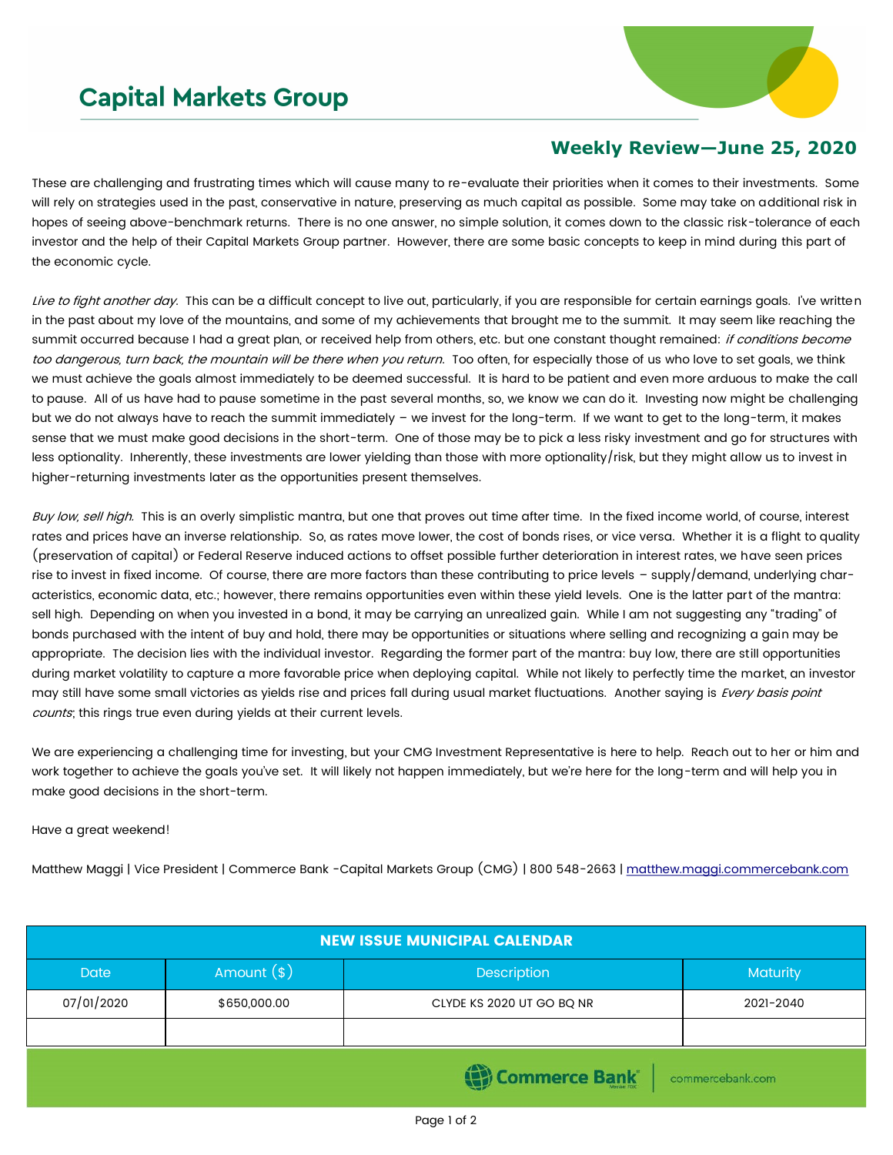## **Capital Markets Group**



## **Weekly Review—June 25, 2020**

These are challenging and frustrating times which will cause many to re-evaluate their priorities when it comes to their investments. Some will rely on strategies used in the past, conservative in nature, preserving as much capital as possible. Some may take on additional risk in hopes of seeing above-benchmark returns. There is no one answer, no simple solution, it comes down to the classic risk-tolerance of each investor and the help of their Capital Markets Group partner. However, there are some basic concepts to keep in mind during this part of the economic cycle.

Live to fight another day. This can be a difficult concept to live out, particularly, if you are responsible for certain earnings goals. I've written in the past about my love of the mountains, and some of my achievements that brought me to the summit. It may seem like reaching the summit occurred because I had a great plan, or received help from others, etc. but one constant thought remained: if conditions become too dangerous, turn back, the mountain will be there when you return. Too often, for especially those of us who love to set goals, we think we must achieve the goals almost immediately to be deemed successful. It is hard to be patient and even more arduous to make the call to pause. All of us have had to pause sometime in the past several months, so, we know we can do it. Investing now might be challenging but we do not always have to reach the summit immediately – we invest for the long-term. If we want to get to the long-term, it makes sense that we must make good decisions in the short-term. One of those may be to pick a less risky investment and go for structures with less optionality. Inherently, these investments are lower yielding than those with more optionality/risk, but they might allow us to invest in higher-returning investments later as the opportunities present themselves.

Buy low, sell high. This is an overly simplistic mantra, but one that proves out time after time. In the fixed income world, of course, interest rates and prices have an inverse relationship. So, as rates move lower, the cost of bonds rises, or vice versa. Whether it is a flight to quality (preservation of capital) or Federal Reserve induced actions to offset possible further deterioration in interest rates, we have seen prices rise to invest in fixed income. Of course, there are more factors than these contributing to price levels – supply/demand, underlying characteristics, economic data, etc.; however, there remains opportunities even within these yield levels. One is the latter part of the mantra: sell high. Depending on when you invested in a bond, it may be carrying an unrealized gain. While I am not suggesting any "trading" of bonds purchased with the intent of buy and hold, there may be opportunities or situations where selling and recognizing a gain may be appropriate. The decision lies with the individual investor. Regarding the former part of the mantra: buy low, there are still opportunities during market volatility to capture a more favorable price when deploying capital. While not likely to perfectly time the market, an investor may still have some small victories as yields rise and prices fall during usual market fluctuations. Another saying is Every basis point counts; this rings true even during yields at their current levels.

We are experiencing a challenging time for investing, but your CMG Investment Representative is here to help. Reach out to her or him and work together to achieve the goals you've set. It will likely not happen immediately, but we're here for the long-term and will help you in make good decisions in the short-term.

Have a great weekend!

Matthew Maggi | Vice President | Commerce Bank -Capital Markets Group (CMG) | 800 548-2663 | [matthew.maggi.commercebank.com](mailto:matthew.maggi@commercebank.com)

| <b>NEW ISSUE MUNICIPAL CALENDAR</b> |              |                           |                 |  |  |  |  |  |  |
|-------------------------------------|--------------|---------------------------|-----------------|--|--|--|--|--|--|
| <b>Date</b>                         | Amount $(*)$ | Description               | <b>Maturity</b> |  |  |  |  |  |  |
| 07/01/2020                          | \$650,000.00 | CLYDE KS 2020 UT GO BQ NR | 2021-2040       |  |  |  |  |  |  |
|                                     |              |                           |                 |  |  |  |  |  |  |
| Commerce Bank<br>commercebank.com   |              |                           |                 |  |  |  |  |  |  |